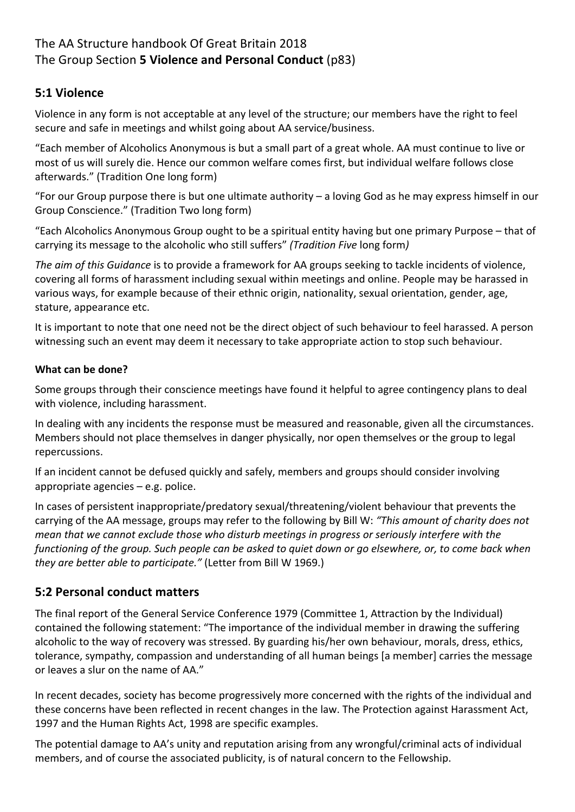# The AA Structure handbook Of Great Britain 2018 The Group Section **5 Violence and Personal Conduct** (p83)

# **5:1 Violence**

Violence in any form is not acceptable at any level of the structure; our members have the right to feel secure and safe in meetings and whilst going about AA service/business.

"Each member of Alcoholics Anonymous is but a small part of a great whole. AA must continue to live or most of us will surely die. Hence our common welfare comes first, but individual welfare follows close afterwards." (Tradition One long form)

"For our Group purpose there is but one ultimate authority – a loving God as he may express himself in our Group Conscience." (Tradition Two long form)

"Each Alcoholics Anonymous Group ought to be a spiritual entity having but one primary Purpose – that of carrying its message to the alcoholic who still suffers" *(Tradition Five* long form*)*

*The aim of this Guidance* is to provide a framework for AA groups seeking to tackle incidents of violence, covering all forms of harassment including sexual within meetings and online. People may be harassed in various ways, for example because of their ethnic origin, nationality, sexual orientation, gender, age, stature, appearance etc.

It is important to note that one need not be the direct object of such behaviour to feel harassed. A person witnessing such an event may deem it necessary to take appropriate action to stop such behaviour.

### **What can be done?**

Some groups through their conscience meetings have found it helpful to agree contingency plans to deal with violence, including harassment.

In dealing with any incidents the response must be measured and reasonable, given all the circumstances. Members should not place themselves in danger physically, nor open themselves or the group to legal repercussions.

If an incident cannot be defused quickly and safely, members and groups should consider involving appropriate agencies – e.g. police.

In cases of persistent inappropriate/predatory sexual/threatening/violent behaviour that prevents the carrying of the AA message, groups may refer to the following by Bill W: *"This amount of charity does not mean that we cannot exclude those who disturb meetings in progress or seriously interfere with the functioning of the group. Such people can be asked to quiet down or go elsewhere, or, to come back when they are better able to participate."* (Letter from Bill W 1969.)

# **5:2 Personal conduct matters**

The final report of the General Service Conference 1979 (Committee 1, Attraction by the Individual) contained the following statement: "The importance of the individual member in drawing the suffering alcoholic to the way of recovery was stressed. By guarding his/her own behaviour, morals, dress, ethics, tolerance, sympathy, compassion and understanding of all human beings [a member] carries the message or leaves a slur on the name of AA."

In recent decades, society has become progressively more concerned with the rights of the individual and these concerns have been reflected in recent changes in the law. The Protection against Harassment Act, 1997 and the Human Rights Act, 1998 are specific examples.

The potential damage to AA's unity and reputation arising from any wrongful/criminal acts of individual members, and of course the associated publicity, is of natural concern to the Fellowship.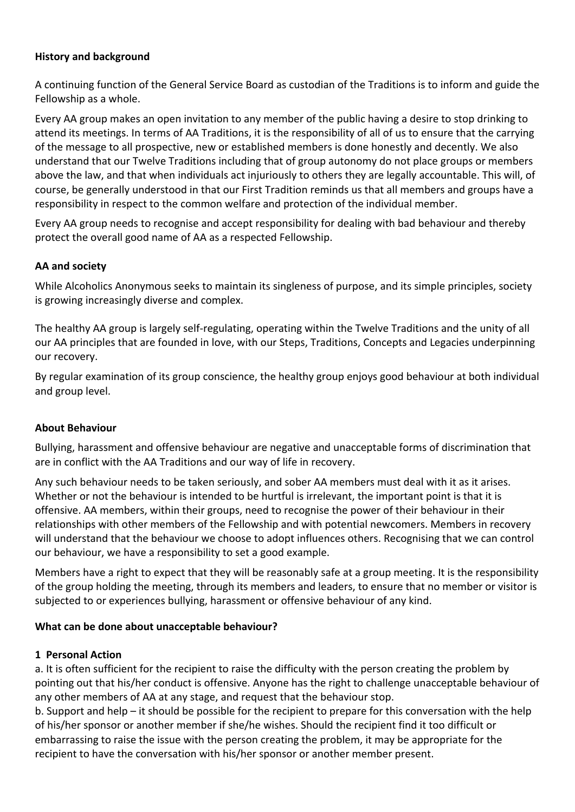### **History and background**

A continuing function of the General Service Board as custodian of the Traditions is to inform and guide the Fellowship as a whole.

Every AA group makes an open invitation to any member of the public having a desire to stop drinking to attend its meetings. In terms of AA Traditions, it is the responsibility of all of us to ensure that the carrying of the message to all prospective, new or established members is done honestly and decently. We also understand that our Twelve Traditions including that of group autonomy do not place groups or members above the law, and that when individuals act injuriously to others they are legally accountable. This will, of course, be generally understood in that our First Tradition reminds us that all members and groups have a responsibility in respect to the common welfare and protection of the individual member.

Every AA group needs to recognise and accept responsibility for dealing with bad behaviour and thereby protect the overall good name of AA as a respected Fellowship.

### **AA and society**

While Alcoholics Anonymous seeks to maintain its singleness of purpose, and its simple principles, society is growing increasingly diverse and complex.

The healthy AA group is largely self-regulating, operating within the Twelve Traditions and the unity of all our AA principles that are founded in love, with our Steps, Traditions, Concepts and Legacies underpinning our recovery.

By regular examination of its group conscience, the healthy group enjoys good behaviour at both individual and group level.

#### **About Behaviour**

Bullying, harassment and offensive behaviour are negative and unacceptable forms of discrimination that are in conflict with the AA Traditions and our way of life in recovery.

Any such behaviour needs to be taken seriously, and sober AA members must deal with it as it arises. Whether or not the behaviour is intended to be hurtful is irrelevant, the important point is that it is offensive. AA members, within their groups, need to recognise the power of their behaviour in their relationships with other members of the Fellowship and with potential newcomers. Members in recovery will understand that the behaviour we choose to adopt influences others. Recognising that we can control our behaviour, we have a responsibility to set a good example.

Members have a right to expect that they will be reasonably safe at a group meeting. It is the responsibility of the group holding the meeting, through its members and leaders, to ensure that no member or visitor is subjected to or experiences bullying, harassment or offensive behaviour of any kind.

#### **What can be done about unacceptable behaviour?**

#### **1 Personal Action**

a. It is often sufficient for the recipient to raise the difficulty with the person creating the problem by pointing out that his/her conduct is offensive. Anyone has the right to challenge unacceptable behaviour of any other members of AA at any stage, and request that the behaviour stop.

b. Support and help – it should be possible for the recipient to prepare for this conversation with the help of his/her sponsor or another member if she/he wishes. Should the recipient find it too difficult or embarrassing to raise the issue with the person creating the problem, it may be appropriate for the recipient to have the conversation with his/her sponsor or another member present.